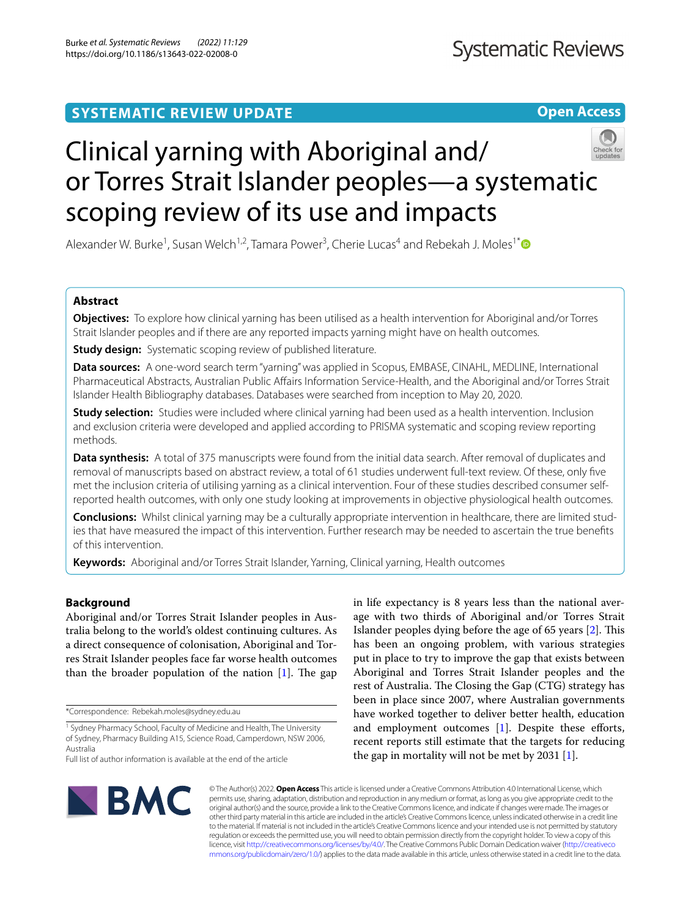# **SYSTEMATIC REVIEW UPDATE**

**Open Access**

# Clinical yarning with Aboriginal and/ or Torres Strait Islander peoples—a systematic scoping review of its use and impacts

Alexander W. Burke<sup>1</sup>, Susan Welch<sup>1,2</sup>, Tamara Power<sup>3</sup>, Cherie Lucas<sup>4</sup> and Rebekah J. Moles<sup>1\*</sup>

# **Abstract**

**Objectives:** To explore how clinical yarning has been utilised as a health intervention for Aboriginal and/or Torres Strait Islander peoples and if there are any reported impacts yarning might have on health outcomes.

**Study design:** Systematic scoping review of published literature.

**Data sources:** A one-word search term "yarning" was applied in Scopus, EMBASE, CINAHL, MEDLINE, International Pharmaceutical Abstracts, Australian Public Afairs Information Service-Health, and the Aboriginal and/or Torres Strait Islander Health Bibliography databases. Databases were searched from inception to May 20, 2020.

**Study selection:** Studies were included where clinical yarning had been used as a health intervention. Inclusion and exclusion criteria were developed and applied according to PRISMA systematic and scoping review reporting methods.

**Data synthesis:** A total of 375 manuscripts were found from the initial data search. After removal of duplicates and removal of manuscripts based on abstract review, a total of 61 studies underwent full-text review. Of these, only fve met the inclusion criteria of utilising yarning as a clinical intervention. Four of these studies described consumer selfreported health outcomes, with only one study looking at improvements in objective physiological health outcomes.

**Conclusions:** Whilst clinical yarning may be a culturally appropriate intervention in healthcare, there are limited studies that have measured the impact of this intervention. Further research may be needed to ascertain the true benefts of this intervention.

**Keywords:** Aboriginal and/or Torres Strait Islander, Yarning, Clinical yarning, Health outcomes

# **Background**

Aboriginal and/or Torres Strait Islander peoples in Australia belong to the world's oldest continuing cultures. As a direct consequence of colonisation, Aboriginal and Torres Strait Islander peoples face far worse health outcomes than the broader population of the nation  $[1]$  $[1]$ . The gap

\*Correspondence: Rebekah.moles@sydney.edu.au

in life expectancy is 8 years less than the national average with two thirds of Aboriginal and/or Torres Strait Islander peoples dying before the age of  $65$  years  $[2]$  $[2]$ . This has been an ongoing problem, with various strategies put in place to try to improve the gap that exists between Aboriginal and Torres Strait Islander peoples and the rest of Australia. The Closing the Gap (CTG) strategy has been in place since 2007, where Australian governments have worked together to deliver better health, education and employment outcomes [[1\]](#page-13-0). Despite these efforts, recent reports still estimate that the targets for reducing the gap in mortality will not be met by 2031  $[1]$  $[1]$ .



© The Author(s) 2022. **Open Access** This article is licensed under a Creative Commons Attribution 4.0 International License, which permits use, sharing, adaptation, distribution and reproduction in any medium or format, as long as you give appropriate credit to the original author(s) and the source, provide a link to the Creative Commons licence, and indicate if changes were made. The images or other third party material in this article are included in the article's Creative Commons licence, unless indicated otherwise in a credit line to the material. If material is not included in the article's Creative Commons licence and your intended use is not permitted by statutory regulation or exceeds the permitted use, you will need to obtain permission directly from the copyright holder. To view a copy of this licence, visit [http://creativecommons.org/licenses/by/4.0/.](http://creativecommons.org/licenses/by/4.0/) The Creative Commons Public Domain Dedication waiver ([http://creativeco](http://creativecommons.org/publicdomain/zero/1.0/) [mmons.org/publicdomain/zero/1.0/](http://creativecommons.org/publicdomain/zero/1.0/)) applies to the data made available in this article, unless otherwise stated in a credit line to the data.

<sup>&</sup>lt;sup>1</sup> Sydney Pharmacy School, Faculty of Medicine and Health, The University of Sydney, Pharmacy Building A15, Science Road, Camperdown, NSW 2006, Australia

Full list of author information is available at the end of the article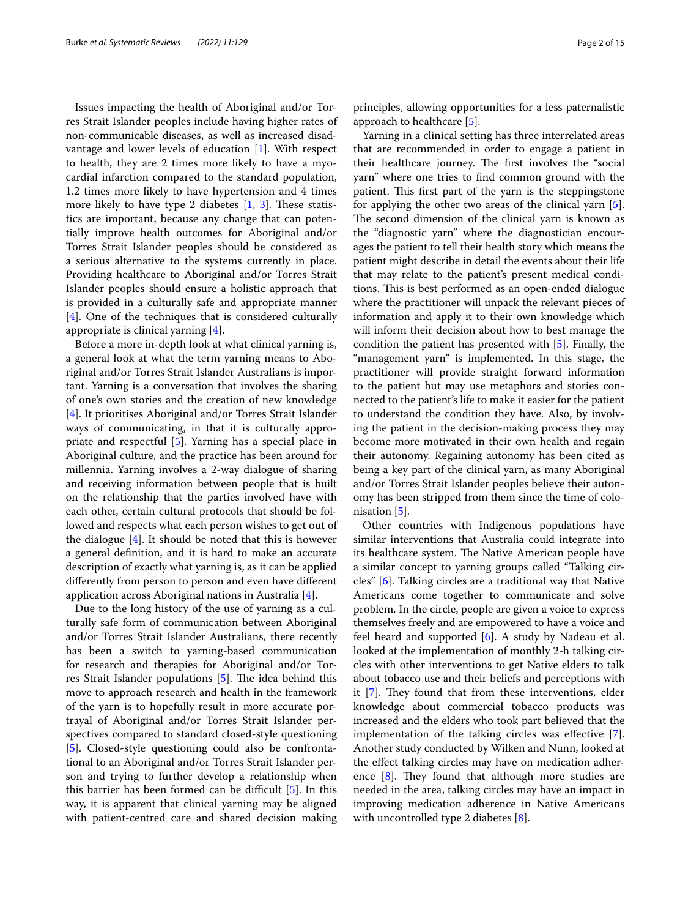Issues impacting the health of Aboriginal and/or Torres Strait Islander peoples include having higher rates of non-communicable diseases, as well as increased disadvantage and lower levels of education [\[1](#page-13-0)]. With respect to health, they are 2 times more likely to have a myocardial infarction compared to the standard population, 1.2 times more likely to have hypertension and 4 times more likely to have type 2 diabetes  $[1, 3]$  $[1, 3]$  $[1, 3]$  $[1, 3]$ . These statistics are important, because any change that can potentially improve health outcomes for Aboriginal and/or Torres Strait Islander peoples should be considered as a serious alternative to the systems currently in place. Providing healthcare to Aboriginal and/or Torres Strait Islander peoples should ensure a holistic approach that is provided in a culturally safe and appropriate manner [[4\]](#page-13-3). One of the techniques that is considered culturally appropriate is clinical yarning [\[4](#page-13-3)].

Before a more in-depth look at what clinical yarning is, a general look at what the term yarning means to Aboriginal and/or Torres Strait Islander Australians is important. Yarning is a conversation that involves the sharing of one's own stories and the creation of new knowledge [[4\]](#page-13-3). It prioritises Aboriginal and/or Torres Strait Islander ways of communicating, in that it is culturally appropriate and respectful [[5\]](#page-13-4). Yarning has a special place in Aboriginal culture, and the practice has been around for millennia. Yarning involves a 2-way dialogue of sharing and receiving information between people that is built on the relationship that the parties involved have with each other, certain cultural protocols that should be followed and respects what each person wishes to get out of the dialogue [\[4](#page-13-3)]. It should be noted that this is however a general defnition, and it is hard to make an accurate description of exactly what yarning is, as it can be applied diferently from person to person and even have diferent application across Aboriginal nations in Australia [[4](#page-13-3)].

Due to the long history of the use of yarning as a culturally safe form of communication between Aboriginal and/or Torres Strait Islander Australians, there recently has been a switch to yarning-based communication for research and therapies for Aboriginal and/or Tor-res Strait Islander populations [\[5\]](#page-13-4). The idea behind this move to approach research and health in the framework of the yarn is to hopefully result in more accurate portrayal of Aboriginal and/or Torres Strait Islander perspectives compared to standard closed-style questioning [[5\]](#page-13-4). Closed-style questioning could also be confrontational to an Aboriginal and/or Torres Strait Islander person and trying to further develop a relationship when this barrier has been formed can be difficult  $[5]$  $[5]$ . In this way, it is apparent that clinical yarning may be aligned with patient-centred care and shared decision making principles, allowing opportunities for a less paternalistic approach to healthcare [[5\]](#page-13-4).

Yarning in a clinical setting has three interrelated areas that are recommended in order to engage a patient in their healthcare journey. The first involves the "social yarn" where one tries to fnd common ground with the patient. This first part of the yarn is the steppingstone for applying the other two areas of the clinical yarn [\[5](#page-13-4)]. The second dimension of the clinical yarn is known as the "diagnostic yarn" where the diagnostician encourages the patient to tell their health story which means the patient might describe in detail the events about their life that may relate to the patient's present medical conditions. This is best performed as an open-ended dialogue where the practitioner will unpack the relevant pieces of information and apply it to their own knowledge which will inform their decision about how to best manage the condition the patient has presented with [\[5\]](#page-13-4). Finally, the "management yarn" is implemented. In this stage, the practitioner will provide straight forward information to the patient but may use metaphors and stories connected to the patient's life to make it easier for the patient to understand the condition they have. Also, by involving the patient in the decision-making process they may become more motivated in their own health and regain their autonomy. Regaining autonomy has been cited as being a key part of the clinical yarn, as many Aboriginal and/or Torres Strait Islander peoples believe their autonomy has been stripped from them since the time of colonisation [\[5\]](#page-13-4).

Other countries with Indigenous populations have similar interventions that Australia could integrate into its healthcare system. The Native American people have a similar concept to yarning groups called "Talking circles" [[6\]](#page-13-5). Talking circles are a traditional way that Native Americans come together to communicate and solve problem. In the circle, people are given a voice to express themselves freely and are empowered to have a voice and feel heard and supported [\[6](#page-13-5)]. A study by Nadeau et al. looked at the implementation of monthly 2-h talking circles with other interventions to get Native elders to talk about tobacco use and their beliefs and perceptions with it  $[7]$  $[7]$ . They found that from these interventions, elder knowledge about commercial tobacco products was increased and the elders who took part believed that the implementation of the talking circles was efective [\[7](#page-13-6)]. Another study conducted by Wilken and Nunn, looked at the efect talking circles may have on medication adherence  $[8]$  $[8]$ . They found that although more studies are needed in the area, talking circles may have an impact in improving medication adherence in Native Americans with uncontrolled type 2 diabetes [[8\]](#page-13-7).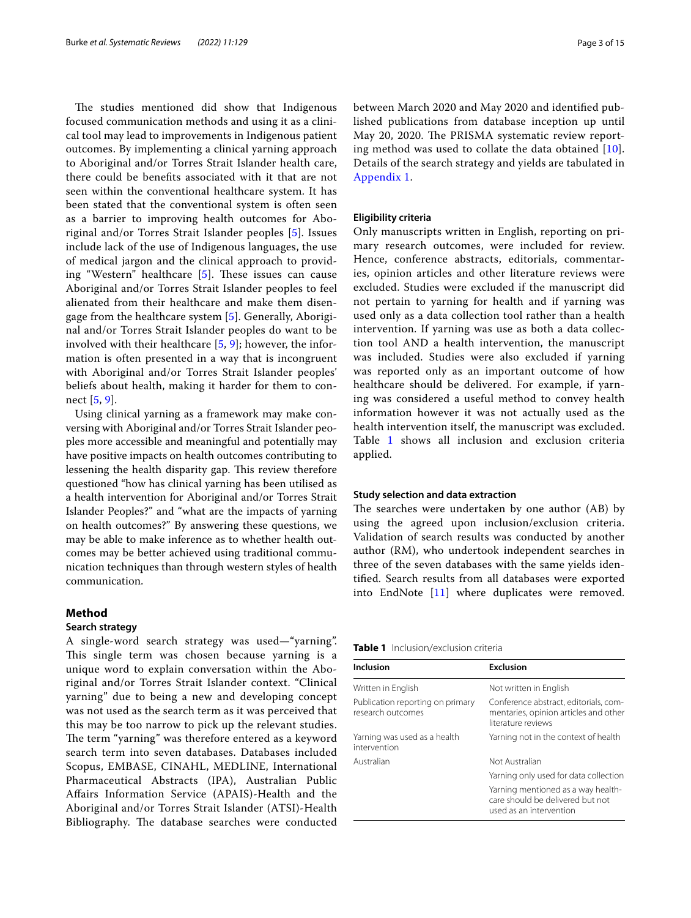The studies mentioned did show that Indigenous focused communication methods and using it as a clinical tool may lead to improvements in Indigenous patient outcomes. By implementing a clinical yarning approach to Aboriginal and/or Torres Strait Islander health care, there could be benefts associated with it that are not seen within the conventional healthcare system. It has been stated that the conventional system is often seen as a barrier to improving health outcomes for Aboriginal and/or Torres Strait Islander peoples [\[5\]](#page-13-4). Issues include lack of the use of Indigenous languages, the use of medical jargon and the clinical approach to providing "Western" healthcare  $[5]$  $[5]$  $[5]$ . These issues can cause Aboriginal and/or Torres Strait Islander peoples to feel alienated from their healthcare and make them disengage from the healthcare system [\[5](#page-13-4)]. Generally, Aboriginal and/or Torres Strait Islander peoples do want to be involved with their healthcare  $[5, 9]$  $[5, 9]$  $[5, 9]$  $[5, 9]$ ; however, the information is often presented in a way that is incongruent with Aboriginal and/or Torres Strait Islander peoples' beliefs about health, making it harder for them to connect [[5,](#page-13-4) [9](#page-13-8)].

Using clinical yarning as a framework may make conversing with Aboriginal and/or Torres Strait Islander peoples more accessible and meaningful and potentially may have positive impacts on health outcomes contributing to lessening the health disparity gap. This review therefore questioned "how has clinical yarning has been utilised as a health intervention for Aboriginal and/or Torres Strait Islander Peoples?" and "what are the impacts of yarning on health outcomes?" By answering these questions, we may be able to make inference as to whether health outcomes may be better achieved using traditional communication techniques than through western styles of health communication.

# **Method**

#### **Search strategy**

A single-word search strategy was used—"yarning". This single term was chosen because yarning is a unique word to explain conversation within the Aboriginal and/or Torres Strait Islander context. "Clinical yarning" due to being a new and developing concept was not used as the search term as it was perceived that this may be too narrow to pick up the relevant studies. The term "yarning" was therefore entered as a keyword search term into seven databases. Databases included Scopus, EMBASE, CINAHL, MEDLINE, International Pharmaceutical Abstracts (IPA), Australian Public Afairs Information Service (APAIS)-Health and the Aboriginal and/or Torres Strait Islander (ATSI)-Health Bibliography. The database searches were conducted between March 2020 and May 2020 and identifed published publications from database inception up until May 20, 2020. The PRISMA systematic review reporting method was used to collate the data obtained  $[10]$  $[10]$ . Details of the search strategy and yields are tabulated in [Appendix 1.](#page-10-0)

#### **Eligibility criteria**

Only manuscripts written in English, reporting on primary research outcomes, were included for review. Hence, conference abstracts, editorials, commentaries, opinion articles and other literature reviews were excluded. Studies were excluded if the manuscript did not pertain to yarning for health and if yarning was used only as a data collection tool rather than a health intervention. If yarning was use as both a data collection tool AND a health intervention, the manuscript was included. Studies were also excluded if yarning was reported only as an important outcome of how healthcare should be delivered. For example, if yarning was considered a useful method to convey health information however it was not actually used as the health intervention itself, the manuscript was excluded. Table [1](#page-2-0) shows all inclusion and exclusion criteria applied.

#### **Study selection and data extraction**

The searches were undertaken by one author (AB) by using the agreed upon inclusion/exclusion criteria. Validation of search results was conducted by another author (RM), who undertook independent searches in three of the seven databases with the same yields identifed. Search results from all databases were exported into EndNote [\[11](#page-13-10)] where duplicates were removed.

#### <span id="page-2-0"></span>**Table 1** Inclusion/exclusion criteria

| Inclusion                                             | Exclusion                                                                                            |
|-------------------------------------------------------|------------------------------------------------------------------------------------------------------|
| Written in English                                    | Not written in English                                                                               |
| Publication reporting on primary<br>research outcomes | Conference abstract, editorials, com-<br>mentaries, opinion articles and other<br>literature reviews |
| Yarning was used as a health<br>intervention          | Yarning not in the context of health                                                                 |
| Australian                                            | Not Australian                                                                                       |
|                                                       | Yarning only used for data collection                                                                |
|                                                       | Yarning mentioned as a way health-<br>care should be delivered but not<br>used as an intervention    |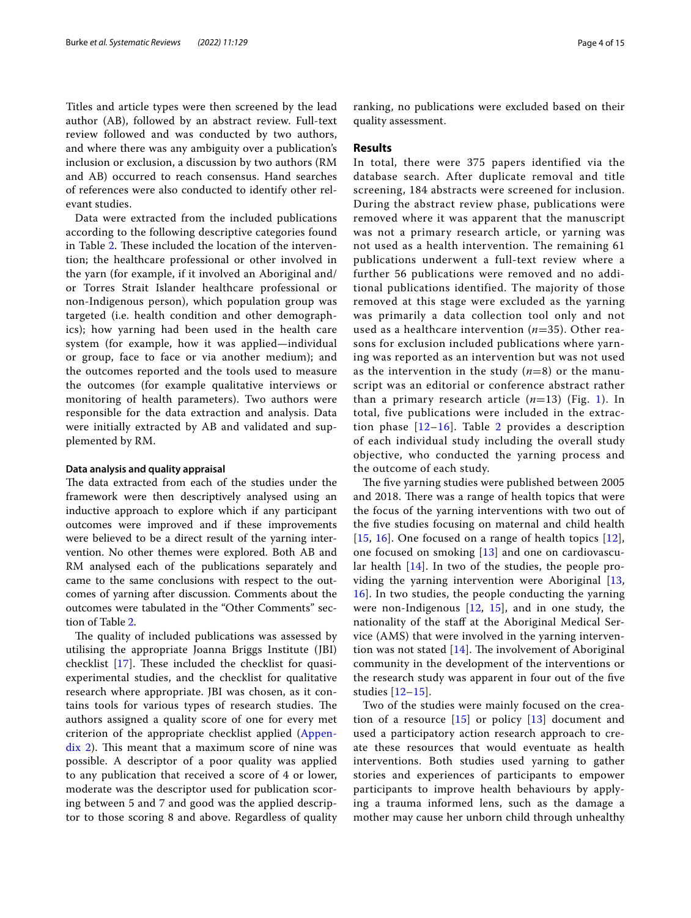Titles and article types were then screened by the lead author (AB), followed by an abstract review. Full-text review followed and was conducted by two authors, and where there was any ambiguity over a publication's inclusion or exclusion, a discussion by two authors (RM and AB) occurred to reach consensus. Hand searches of references were also conducted to identify other relevant studies.

Data were extracted from the included publications according to the following descriptive categories found in Table [2.](#page-4-0) These included the location of the intervention; the healthcare professional or other involved in the yarn (for example, if it involved an Aboriginal and/ or Torres Strait Islander healthcare professional or non-Indigenous person), which population group was targeted (i.e. health condition and other demographics); how yarning had been used in the health care system (for example, how it was applied—individual or group, face to face or via another medium); and the outcomes reported and the tools used to measure the outcomes (for example qualitative interviews or monitoring of health parameters). Two authors were responsible for the data extraction and analysis. Data were initially extracted by AB and validated and supplemented by RM.

#### **Data analysis and quality appraisal**

The data extracted from each of the studies under the framework were then descriptively analysed using an inductive approach to explore which if any participant outcomes were improved and if these improvements were believed to be a direct result of the yarning intervention. No other themes were explored. Both AB and RM analysed each of the publications separately and came to the same conclusions with respect to the outcomes of yarning after discussion. Comments about the outcomes were tabulated in the "Other Comments" section of Table [2](#page-4-0).

The quality of included publications was assessed by utilising the appropriate Joanna Briggs Institute (JBI) checklist  $[17]$  $[17]$  $[17]$ . These included the checklist for quasiexperimental studies, and the checklist for qualitative research where appropriate. JBI was chosen, as it contains tools for various types of research studies. The authors assigned a quality score of one for every met criterion of the appropriate checklist applied [\(Appen](#page-10-1) $dix$  2). This meant that a maximum score of nine was possible. A descriptor of a poor quality was applied to any publication that received a score of 4 or lower, moderate was the descriptor used for publication scoring between 5 and 7 and good was the applied descriptor to those scoring 8 and above. Regardless of quality ranking, no publications were excluded based on their quality assessment.

#### **Results**

In total, there were 375 papers identified via the database search. After duplicate removal and title screening, 184 abstracts were screened for inclusion. During the abstract review phase, publications were removed where it was apparent that the manuscript was not a primary research article, or yarning was not used as a health intervention. The remaining 61 publications underwent a full-text review where a further 56 publications were removed and no additional publications identified. The majority of those removed at this stage were excluded as the yarning was primarily a data collection tool only and not used as a healthcare intervention (*n*=35). Other reasons for exclusion included publications where yarning was reported as an intervention but was not used as the intervention in the study (*n*=8) or the manuscript was an editorial or conference abstract rather than a primary research article  $(n=13)$  (Fig. [1\)](#page-9-0). In total, five publications were included in the extraction phase  $[12-16]$  $[12-16]$  $[12-16]$ . Table [2](#page-4-0) provides a description of each individual study including the overall study objective, who conducted the yarning process and the outcome of each study.

The five yarning studies were published between 2005 and 2018. There was a range of health topics that were the focus of the yarning interventions with two out of the fve studies focusing on maternal and child health [[15](#page-13-14), [16](#page-13-13)]. One focused on a range of health topics [[12\]](#page-13-12), one focused on smoking [\[13](#page-13-15)] and one on cardiovascular health [\[14\]](#page-13-16). In two of the studies, the people providing the yarning intervention were Aboriginal [\[13](#page-13-15), [16\]](#page-13-13). In two studies, the people conducting the yarning were non-Indigenous  $[12, 15]$  $[12, 15]$  $[12, 15]$  $[12, 15]$  $[12, 15]$ , and in one study, the nationality of the staff at the Aboriginal Medical Service (AMS) that were involved in the yarning intervention was not stated  $[14]$  $[14]$  $[14]$ . The involvement of Aboriginal community in the development of the interventions or the research study was apparent in four out of the fve studies [[12](#page-13-12)[–15](#page-13-14)].

Two of the studies were mainly focused on the creation of a resource  $[15]$  or policy  $[13]$  $[13]$  document and used a participatory action research approach to create these resources that would eventuate as health interventions. Both studies used yarning to gather stories and experiences of participants to empower participants to improve health behaviours by applying a trauma informed lens, such as the damage a mother may cause her unborn child through unhealthy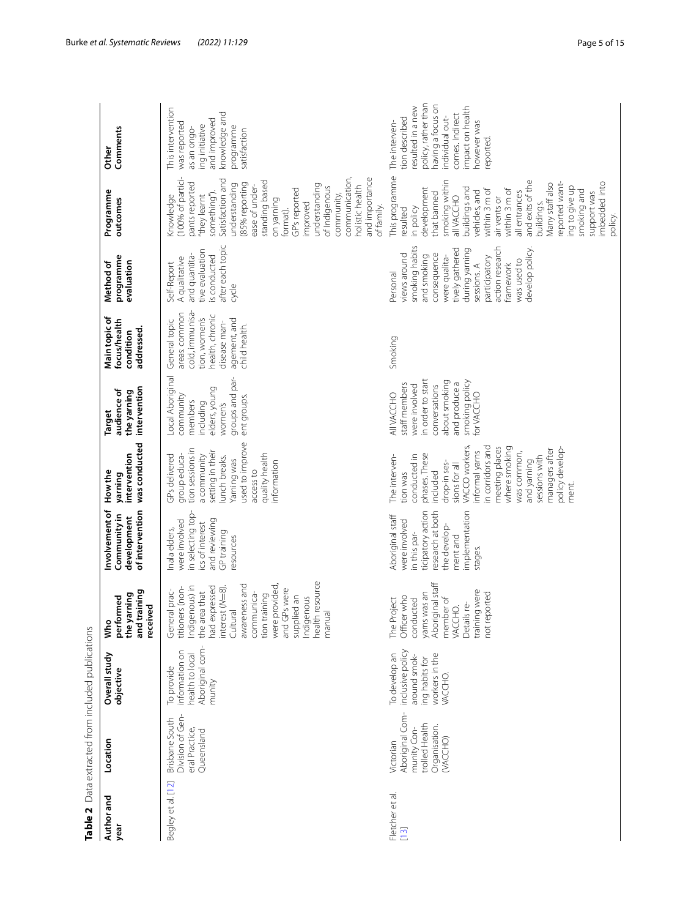| Author and<br>year                                       | Location                                                                                   | Overall study<br>objective                                                                      | and training<br>the yarning<br>performed<br>received<br>Who                                                                                                                                                                                                   | Involvement of<br>of intervention<br>Community in<br>development                                                                                    | was conducted<br>intervention<br>How the<br>yarning                                                                                                                                                                                                                                             | intervention<br>audience of<br>the yarning<br><b>Target</b>                                                                                                | Main topic of<br>focus/health<br>addressed.<br>condition                                                                               | programme<br>Method of<br>evaluation                                                                                                                                                                                             | Programme<br>outcomes                                                                                                                                                                                                                                                                                                                                        | Comments<br>Other                                                                                                                                                                    |
|----------------------------------------------------------|--------------------------------------------------------------------------------------------|-------------------------------------------------------------------------------------------------|---------------------------------------------------------------------------------------------------------------------------------------------------------------------------------------------------------------------------------------------------------------|-----------------------------------------------------------------------------------------------------------------------------------------------------|-------------------------------------------------------------------------------------------------------------------------------------------------------------------------------------------------------------------------------------------------------------------------------------------------|------------------------------------------------------------------------------------------------------------------------------------------------------------|----------------------------------------------------------------------------------------------------------------------------------------|----------------------------------------------------------------------------------------------------------------------------------------------------------------------------------------------------------------------------------|--------------------------------------------------------------------------------------------------------------------------------------------------------------------------------------------------------------------------------------------------------------------------------------------------------------------------------------------------------------|--------------------------------------------------------------------------------------------------------------------------------------------------------------------------------------|
| Begley et al. [12]                                       | Division of Gen-<br>Brisbane South<br>eral Practice,<br>Queensland                         | Aboriginal com-<br>information on<br>health to local<br>To provide<br>munity                    | health resource<br>awareness and<br>tion training<br>were provided,<br>Indigenous) in<br>had expressed<br>titioners (non-<br>nterest (N=8)<br>and GPs were<br>General prac-<br>the area that<br>communica-<br>supplied an<br>Indigenous<br>Cultural<br>manual | in selecting top-<br>and reviewing<br>were involved<br>ics of interest<br>Inala elders,<br>GP training<br>resources                                 | used to improve<br>tion sessions in<br>setting in their<br>quality health<br>a community<br>GPs delivered<br>group educa-<br>lunch breaks.<br>Yarning was<br>information<br>access to                                                                                                           | Local Aboriginal<br>groups and par-<br>elders, young<br>community<br>ent groups.<br>members<br>including<br>women's                                        | cold, immunisa-<br>areas: common<br>health, chronic<br>tion, women's<br>agement, and<br>General topic<br>disease man-<br>child health. | after each topic<br>tive evaluation<br>is conducted<br>and quantita-<br>A qualitative<br>Self-Report<br>cycle                                                                                                                    | communication,<br>100% of partici-<br>and importance<br>Satisfaction and<br>standing based<br>pants reported<br>(85% reporting<br>understanding<br>understanding<br>holistic health<br>ease of under-<br>of Indigenous<br>GP's reported<br>something").<br>community,<br>"they learnt<br>Knowledge<br>on yarning<br>improved<br>of family.<br>format).       | This intervention<br>knowledge and<br>and improved<br>was reported<br>ing initiative<br>programme<br>as an ongo-<br>satisfaction                                                     |
| Fletcher et al.<br>$\begin{bmatrix} 1 & 3 \end{bmatrix}$ | Aboriginal Com-<br>trolled Health<br>Organisation.<br>munity Con-<br>(VACCHO)<br>Victorian | inclusive policy<br>To develop an<br>workers in the<br>around smok-<br>ing habits for<br>VACCHO | Aboriginal staff<br>training were<br>yarns was an<br>ported<br>Officer who<br>member of<br>The Project<br>conducted<br>Details re-<br>VACCHO.<br>not re                                                                                                       | research at both<br>implementation<br>ticipatory action<br>Aboriginal staff<br>were involved<br>the develop-<br>in this par-<br>ment and<br>stages. | VACCO workers,<br>in corridors and<br>meeting places<br>where smoking<br>policy develop-<br>managers after<br>informal yarns<br>was common,<br>phases. These<br>conducted in<br>sessions with<br>The interven-<br>and yarning<br>drop-in ses-<br>sions for all<br>included<br>tion was<br>ment. | in order to start<br>smoking policy<br>about smoking<br>and produce a<br>staff members<br>conversations<br>were involved<br><b>AIIVACCHO</b><br>for VACCHO | Smoking                                                                                                                                | smoking habits<br>action research<br>develop policy.<br>tively gathered<br>during yarning<br>consequence<br>views around<br>and smoking<br>were qualita-<br>participatory<br>was used to<br>tramework<br>sessions. A<br>Personal | This programme<br>smoking within<br>and exits of the<br>imbedded into<br>Many staff also<br>reported want-<br>ing to give up<br>development<br>buildings and<br>within 3 m of<br>within 3 m of<br>smoking and<br>vehicles, and<br>support was<br>all entrances<br>that banned<br>allVACCHO<br>air vents or<br>puildings.<br>in policy<br>resulted<br>policy. | policy, rather than<br>having a focus on<br>resulted in a new<br>impact on health<br>comes. Indirect<br>individual out-<br>tion described<br>however was<br>The interven-<br>eported |

<span id="page-4-0"></span>Table 2 Data extracted from included publications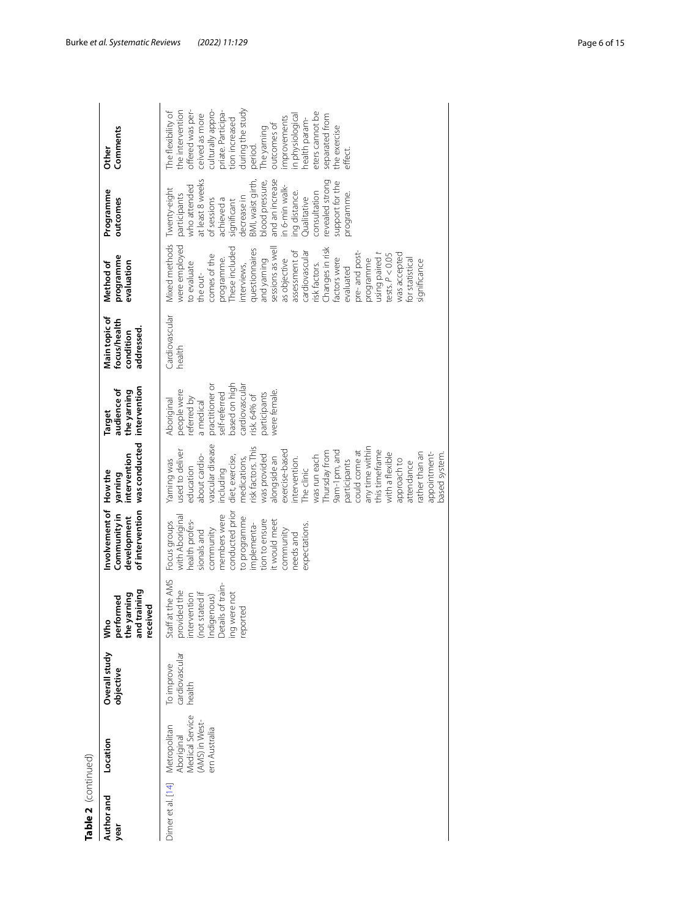| Table 2  (continued) |                                                                                  |                                        |                                                                                                                                 |                                                                                                                                                                                                                              |                                                                                                                                                                                                                                                                                                                                                                                                                                                                  |                                                                                                                                                                                    |                                                          |                                                                                                                                                                                                                                                                                                                                                                                                                |                                                                                                                                                                                                                                                                                                              |                                                                                                                                                                                                                                                                                                                             |
|----------------------|----------------------------------------------------------------------------------|----------------------------------------|---------------------------------------------------------------------------------------------------------------------------------|------------------------------------------------------------------------------------------------------------------------------------------------------------------------------------------------------------------------------|------------------------------------------------------------------------------------------------------------------------------------------------------------------------------------------------------------------------------------------------------------------------------------------------------------------------------------------------------------------------------------------------------------------------------------------------------------------|------------------------------------------------------------------------------------------------------------------------------------------------------------------------------------|----------------------------------------------------------|----------------------------------------------------------------------------------------------------------------------------------------------------------------------------------------------------------------------------------------------------------------------------------------------------------------------------------------------------------------------------------------------------------------|--------------------------------------------------------------------------------------------------------------------------------------------------------------------------------------------------------------------------------------------------------------------------------------------------------------|-----------------------------------------------------------------------------------------------------------------------------------------------------------------------------------------------------------------------------------------------------------------------------------------------------------------------------|
| Author and<br>year   | Location                                                                         | Overall study<br>objective             | and training<br>performed<br>the yarning<br>received<br>Who                                                                     | Involvement of<br>of intervention<br>Community in<br>development                                                                                                                                                             | was conducted<br>intervention<br>How the<br>yaming                                                                                                                                                                                                                                                                                                                                                                                                               | intervention<br>audience of<br>the yarning<br><b>Target</b>                                                                                                                        | Main topic of<br>focus/health<br>addressed.<br>condition | programme<br>Method of<br>evaluation                                                                                                                                                                                                                                                                                                                                                                           | Programme<br>outcomes                                                                                                                                                                                                                                                                                        | Comments<br><b>Other</b>                                                                                                                                                                                                                                                                                                    |
| Dimer et al. [14]    | Medical Service<br>(AMS) in West-<br>Metropolitan<br>ern Australia<br>Aboriginal | cardiovascular<br>To improve<br>health | Staff at the AMS<br>provided the<br>intervention<br>indigenous)<br>Indigenous)<br>Details of train-<br>ing were not<br>reported | conducted prior<br>with Aboriginal<br>members were<br>to programme<br>t would meet<br>tion to ensure<br>health profes-<br>Focus groups<br>implementa-<br>expectations.<br>community<br>community<br>sionals and<br>needs and | vascular disease<br>risk factors. This<br>any time within<br>used to deliver<br>this timeframe<br>9am-1pm, and<br>exercise-based<br>could come at<br>Thursday from<br>with a flexible<br>ather than an<br>appointment-<br>pased system.<br>about cardio-<br>was provided<br>diet, exercise,<br>was run each<br>alongside an<br>medications,<br>intervention.<br>Yarning was<br>approach to<br>participants<br>attendance<br>education<br>including<br>The clinic | based on high<br>practitioner or<br>cardiovascular<br>people were<br>were female.<br><b>Darticipants</b><br>self-referred<br>risk. 64% of<br>eferred by<br>Aboriginal<br>a medical | Cardiovascular<br>health                                 | Mixed methods<br>were employed<br>These included<br>sessions as wel<br>Changes in risk<br>questionnaires<br>assessment of<br>pre- and post-<br>cardiovascular<br>using paired t<br>was accepted<br>P < 0.05<br>comes of the<br>actors were<br>for statistical<br>as objective<br>programme.<br>and yarning<br>programme<br>significance<br>to evaluate<br>isk factors.<br>interviews,<br>evaluated<br>the out- | at least 8 weeks<br>and an increase<br>BMI, waist girth,<br>revealed strong<br>blood pressure,<br>support for the<br>in 6-min walk-<br>who attended<br>Twenty-eight<br>ing distance.<br>consultation<br>programme.<br>participants<br>decrease in<br>Qualitative<br>of sessions<br>achieved a<br>significant | culturally appro-<br>during the study<br>the intervention<br>offered was per-<br>priate. Participa-<br>The flexibility of<br>eters cannot be<br>ceived as more<br>in physiological<br>separated from<br>improvements<br>tion increased<br>health param-<br>outcomes of<br>the exercise<br>The yarning<br>period.<br>effect. |
|                      |                                                                                  |                                        |                                                                                                                                 |                                                                                                                                                                                                                              |                                                                                                                                                                                                                                                                                                                                                                                                                                                                  |                                                                                                                                                                                    |                                                          |                                                                                                                                                                                                                                                                                                                                                                                                                |                                                                                                                                                                                                                                                                                                              |                                                                                                                                                                                                                                                                                                                             |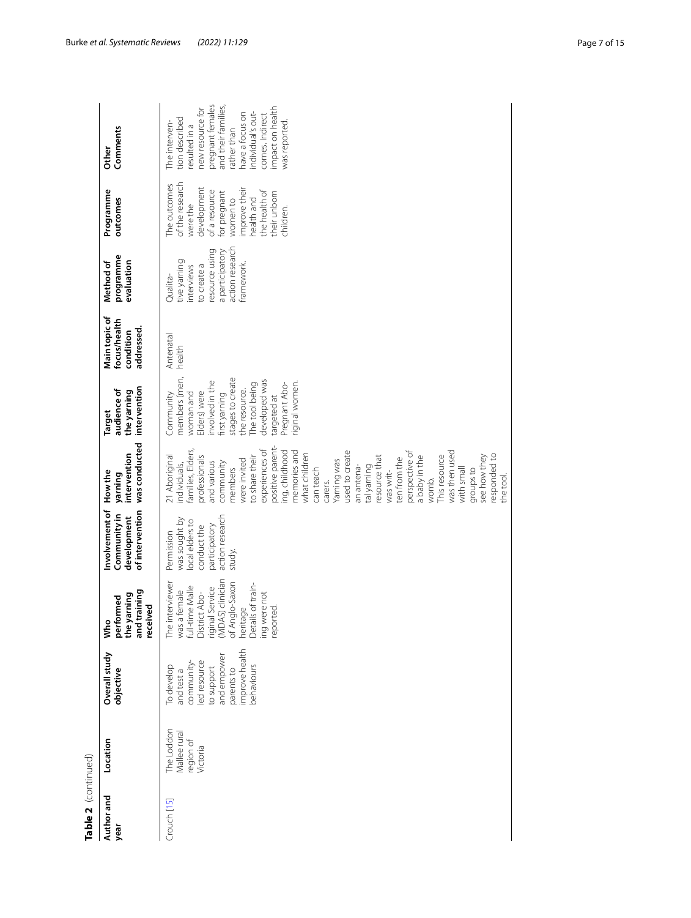| Table 2  (continued) |                                                     |                                                                                                                                  |                                                                                                                                                                                                             |                                                                                                             |                                                                                                                                                                                                                                                                                                                                                                                                                                                                                                                           |                                                                                                                                                                                                                       |                                                          |                                                                                                                            |                                                                                                                                                                                      |                                                                                                                                                                                                                           |
|----------------------|-----------------------------------------------------|----------------------------------------------------------------------------------------------------------------------------------|-------------------------------------------------------------------------------------------------------------------------------------------------------------------------------------------------------------|-------------------------------------------------------------------------------------------------------------|---------------------------------------------------------------------------------------------------------------------------------------------------------------------------------------------------------------------------------------------------------------------------------------------------------------------------------------------------------------------------------------------------------------------------------------------------------------------------------------------------------------------------|-----------------------------------------------------------------------------------------------------------------------------------------------------------------------------------------------------------------------|----------------------------------------------------------|----------------------------------------------------------------------------------------------------------------------------|--------------------------------------------------------------------------------------------------------------------------------------------------------------------------------------|---------------------------------------------------------------------------------------------------------------------------------------------------------------------------------------------------------------------------|
| Author and<br>year   | Location                                            | Overall study<br>objective                                                                                                       | and training<br>the yarning<br>performed<br>received<br>Š                                                                                                                                                   | Involvement of<br>of intervention<br>Community in<br>development                                            | was conducted<br>intervention<br>How the<br>yarning                                                                                                                                                                                                                                                                                                                                                                                                                                                                       | intervention<br>audience of<br>the yarning<br><b>Target</b>                                                                                                                                                           | Main topic of<br>focus/health<br>addressed.<br>condition | programme<br>evaluation<br>Method of                                                                                       | Programme<br>outcomes                                                                                                                                                                | Comments<br>Other                                                                                                                                                                                                         |
| Crouch [15]          | The Loddon<br>Mallee rural<br>region of<br>victoria | improve health<br>and empower<br>ed resource<br>community-<br>To develop<br>pehaviours<br>to support<br>parents to<br>and test a | riginal Service<br>(MDAS) clinician<br>of Anglo-Saxon<br>interviewer<br>Details of train-<br>was a female<br>full-time Malle<br>District Abo-<br>a female<br>ing were not<br>heritage<br>reported.<br>The i | action research<br>was sought by<br>local elders to<br>participatory<br>conduct the<br>Permission<br>study. | positive parent-<br>amilies, Elders,<br>experiences of<br>memories and<br>ng, childhood<br>used to create<br>perspective of<br>was then used<br>what children<br>responded to<br>21 Aboriginal<br>see how they<br>orofessionals<br>o share their<br>a baby in the<br>This resource<br>esource that<br>ten from the<br>were invited<br>Yarning was<br>and various<br>community<br>ndividuals,<br>an antena-<br>tal yarning<br>members<br>with small<br>groups to<br>can teach<br>was writ-<br>the tool<br>womb.<br>carers. | members (men,<br>stages to create<br>developed was<br>involved in the<br>riginal women.<br>The tool being<br>Pregnant Abo-<br>the resource.<br>Elders) were<br>Community<br>woman and<br>first yarning<br>targeted at | Antenatal<br>health                                      | action research<br>esource using<br>a participatory<br>tive yarning<br>framework.<br>to create a<br>interviews<br>Qualita- | of the research<br>The outcomes<br>development<br>improve their<br>the health of<br>of a resource<br>for pregnant<br>their unborn<br>health and<br>women to<br>were the<br>children. | pregnant females<br>and their families,<br>mpact on health<br>hew resource for<br>ndividual's out-<br>have a focus on<br>comes. Indirect<br>tion described<br>was reported<br>The interven-<br>esulted in a<br>ather than |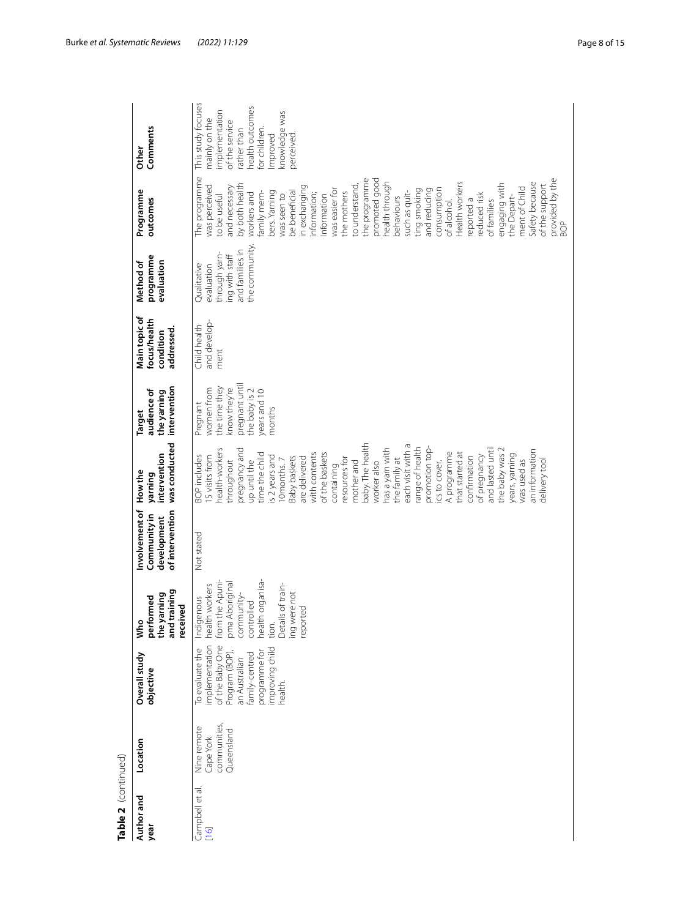| Table 2 (continued)     |                                                        |                                                                                                                                                          |                                                                                                                                                                                  |                                                                  |                                                                                                                                                                                                                                                                                                                                                                                                                                                                                                                                                                                                             |                                                                                                                      |                                                         |                                                                                                  |                                                                                                                                                                                                                                                                                                                                                                                                                                                                                                                                                                                           |                                                                                                                                                                   |
|-------------------------|--------------------------------------------------------|----------------------------------------------------------------------------------------------------------------------------------------------------------|----------------------------------------------------------------------------------------------------------------------------------------------------------------------------------|------------------------------------------------------------------|-------------------------------------------------------------------------------------------------------------------------------------------------------------------------------------------------------------------------------------------------------------------------------------------------------------------------------------------------------------------------------------------------------------------------------------------------------------------------------------------------------------------------------------------------------------------------------------------------------------|----------------------------------------------------------------------------------------------------------------------|---------------------------------------------------------|--------------------------------------------------------------------------------------------------|-------------------------------------------------------------------------------------------------------------------------------------------------------------------------------------------------------------------------------------------------------------------------------------------------------------------------------------------------------------------------------------------------------------------------------------------------------------------------------------------------------------------------------------------------------------------------------------------|-------------------------------------------------------------------------------------------------------------------------------------------------------------------|
| Author and<br>year      | Location                                               | Overall study<br>objective                                                                                                                               | and training<br>the yarning<br>performed<br>received<br>Who                                                                                                                      | Involvement of<br>of intervention<br>Community in<br>development | was conducted<br>intervention<br>How the<br>yaming                                                                                                                                                                                                                                                                                                                                                                                                                                                                                                                                                          | intervention<br>audience of<br>the yarning<br><b>Target</b>                                                          | Main topic of<br>focus/health<br>addressed<br>condition | programme<br>evaluation<br>Method of                                                             | Programme<br>outcomes                                                                                                                                                                                                                                                                                                                                                                                                                                                                                                                                                                     | Comments<br>Other                                                                                                                                                 |
| Campbell et al.<br>[16] | communities,<br>Nine remote<br>Queensland<br>Cape York | of the Baby One<br>implementation<br>improving child<br>To evaluate the<br>programme for<br>Program (BOP),<br>an Australian<br>family-centred<br>health. | from the Apuni-<br>health organisa-<br>pma Aboriginal<br>:h workers<br>Details of train-<br>ing were not<br>community-<br>Indigenous<br>controlled<br>reported<br>healt<br>tion. | Not stated                                                       | baby. The health<br>each visit with a<br>promotion top-<br>health-workers<br>pregnancy and<br>has a yarn with<br>range of health<br>and lasted until<br>an information<br>the baby was 2<br>A programme<br>with contents<br>of the baskets<br>that started at<br>time the child<br>years, yarning<br>of pregnancy<br><b>BOP</b> includes<br>5 visits from<br>s 2 years and<br><b>Baby baskets</b><br>confirmation<br>are delivered<br>resources for<br>the family at<br>was used as<br>delivery tool<br>Omonths.7<br>throughout<br>up until the<br>ics to cover.<br>mother and<br>worker also<br>containing | pregnant until<br>the time they<br>know they're<br>women from<br>the baby is 2<br>years and 10<br>Pregnant<br>months | and develop-<br>Child health<br>ment                    | the community<br>and families in<br>through yarn-<br>ing with staff<br>Qualitative<br>evaluation | The programme<br>the programme<br>promoted good<br>provided by the<br>Safety because<br>nealth through<br>Health workers<br>engaging with<br>of the support<br>both health<br>was perceived<br>n exchanging<br>to understand<br>and necessary<br>ment of Child<br>was easier for<br>and reducing<br>consumption<br>ting smoking<br>be beneficial<br>such as quit-<br>bers. Yarning<br>the mothers<br>nformation;<br>workers and<br>amily mem-<br>reduced risk<br>nformation<br>to be useful<br>was seen to<br>the Depart-<br>pehaviours<br>eported a<br>of families<br>of alcohol.<br>BOP | This study focuses<br>health outcomes<br>mplementation<br>knowledge was<br>mainly on the<br>of the service<br>for children.<br>ather than<br>mproved<br>perceived |

Table 2 (continued)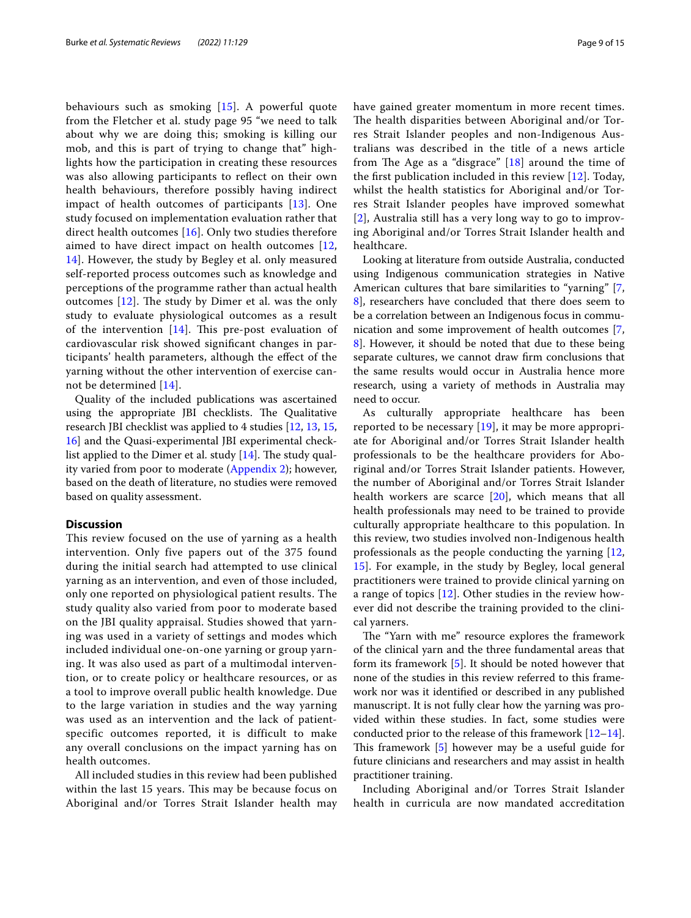behaviours such as smoking [[15\]](#page-13-14). A powerful quote from the Fletcher et al. study page 95 "we need to talk about why we are doing this; smoking is killing our mob, and this is part of trying to change that" highlights how the participation in creating these resources was also allowing participants to refect on their own health behaviours, therefore possibly having indirect impact of health outcomes of participants [[13](#page-13-15)]. One study focused on implementation evaluation rather that direct health outcomes [[16\]](#page-13-13). Only two studies therefore aimed to have direct impact on health outcomes [\[12](#page-13-12), [14\]](#page-13-16). However, the study by Begley et al. only measured self-reported process outcomes such as knowledge and perceptions of the programme rather than actual health outcomes  $[12]$  $[12]$ . The study by Dimer et al. was the only study to evaluate physiological outcomes as a result of the intervention  $[14]$  $[14]$  $[14]$ . This pre-post evaluation of cardiovascular risk showed signifcant changes in participants' health parameters, although the efect of the yarning without the other intervention of exercise cannot be determined [[14\]](#page-13-16).

Quality of the included publications was ascertained using the appropriate JBI checklists. The Qualitative research JBI checklist was applied to 4 studies [\[12](#page-13-12), [13,](#page-13-15) [15](#page-13-14), [16\]](#page-13-13) and the Quasi-experimental JBI experimental checklist applied to the Dimer et al. study  $[14]$ . The study quality varied from poor to moderate [\(Appendix 2](#page-10-1)); however, based on the death of literature, no studies were removed based on quality assessment.

### **Discussion**

This review focused on the use of yarning as a health intervention. Only five papers out of the 375 found during the initial search had attempted to use clinical yarning as an intervention, and even of those included, only one reported on physiological patient results. The study quality also varied from poor to moderate based on the JBI quality appraisal. Studies showed that yarning was used in a variety of settings and modes which included individual one-on-one yarning or group yarning. It was also used as part of a multimodal intervention, or to create policy or healthcare resources, or as a tool to improve overall public health knowledge. Due to the large variation in studies and the way yarning was used as an intervention and the lack of patientspecific outcomes reported, it is difficult to make any overall conclusions on the impact yarning has on health outcomes.

All included studies in this review had been published within the last 15 years. This may be because focus on Aboriginal and/or Torres Strait Islander health may have gained greater momentum in more recent times. The health disparities between Aboriginal and/or Torres Strait Islander peoples and non-Indigenous Australians was described in the title of a news article from The Age as a "disgrace"  $[18]$  $[18]$  around the time of the frst publication included in this review [[12\]](#page-13-12). Today, whilst the health statistics for Aboriginal and/or Torres Strait Islander peoples have improved somewhat [[2](#page-13-1)], Australia still has a very long way to go to improving Aboriginal and/or Torres Strait Islander health and healthcare.

Looking at literature from outside Australia, conducted using Indigenous communication strategies in Native American cultures that bare similarities to "yarning" [\[7](#page-13-6), [8\]](#page-13-7), researchers have concluded that there does seem to be a correlation between an Indigenous focus in communication and some improvement of health outcomes [\[7](#page-13-6), [8\]](#page-13-7). However, it should be noted that due to these being separate cultures, we cannot draw frm conclusions that the same results would occur in Australia hence more research, using a variety of methods in Australia may need to occur.

As culturally appropriate healthcare has been reported to be necessary  $[19]$  $[19]$ , it may be more appropriate for Aboriginal and/or Torres Strait Islander health professionals to be the healthcare providers for Aboriginal and/or Torres Strait Islander patients. However, the number of Aboriginal and/or Torres Strait Islander health workers are scarce [\[20](#page-13-19)], which means that all health professionals may need to be trained to provide culturally appropriate healthcare to this population. In this review, two studies involved non-Indigenous health professionals as the people conducting the yarning [\[12](#page-13-12), [15\]](#page-13-14). For example, in the study by Begley, local general practitioners were trained to provide clinical yarning on a range of topics [[12\]](#page-13-12). Other studies in the review however did not describe the training provided to the clinical yarners.

The "Yarn with me" resource explores the framework of the clinical yarn and the three fundamental areas that form its framework [[5\]](#page-13-4). It should be noted however that none of the studies in this review referred to this framework nor was it identifed or described in any published manuscript. It is not fully clear how the yarning was provided within these studies. In fact, some studies were conducted prior to the release of this framework  $[12-14]$  $[12-14]$  $[12-14]$ . This framework  $[5]$  $[5]$  however may be a useful guide for future clinicians and researchers and may assist in health practitioner training.

Including Aboriginal and/or Torres Strait Islander health in curricula are now mandated accreditation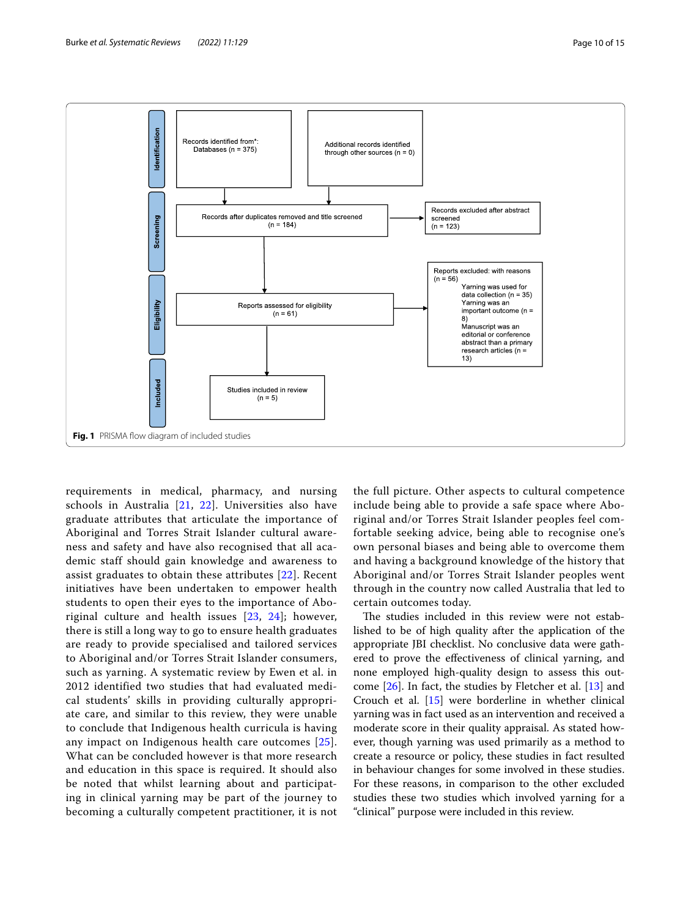

<span id="page-9-0"></span>requirements in medical, pharmacy, and nursing schools in Australia [\[21,](#page-13-20) [22](#page-13-21)]. Universities also have graduate attributes that articulate the importance of Aboriginal and Torres Strait Islander cultural awareness and safety and have also recognised that all academic staff should gain knowledge and awareness to assist graduates to obtain these attributes [\[22\]](#page-13-21). Recent initiatives have been undertaken to empower health students to open their eyes to the importance of Aboriginal culture and health issues [[23](#page-13-22), [24\]](#page-13-23); however, there is still a long way to go to ensure health graduates are ready to provide specialised and tailored services to Aboriginal and/or Torres Strait Islander consumers, such as yarning. A systematic review by Ewen et al. in 2012 identified two studies that had evaluated medical students' skills in providing culturally appropriate care, and similar to this review, they were unable to conclude that Indigenous health curricula is having any impact on Indigenous health care outcomes [[25\]](#page-13-24). What can be concluded however is that more research and education in this space is required. It should also be noted that whilst learning about and participating in clinical yarning may be part of the journey to becoming a culturally competent practitioner, it is not

the full picture. Other aspects to cultural competence include being able to provide a safe space where Aboriginal and/or Torres Strait Islander peoples feel comfortable seeking advice, being able to recognise one's own personal biases and being able to overcome them and having a background knowledge of the history that Aboriginal and/or Torres Strait Islander peoples went through in the country now called Australia that led to certain outcomes today.

The studies included in this review were not established to be of high quality after the application of the appropriate JBI checklist. No conclusive data were gathered to prove the efectiveness of clinical yarning, and none employed high-quality design to assess this outcome [\[26](#page-14-0)]. In fact, the studies by Fletcher et al. [\[13](#page-13-15)] and Crouch et al. [\[15](#page-13-14)] were borderline in whether clinical yarning was in fact used as an intervention and received a moderate score in their quality appraisal. As stated however, though yarning was used primarily as a method to create a resource or policy, these studies in fact resulted in behaviour changes for some involved in these studies. For these reasons, in comparison to the other excluded studies these two studies which involved yarning for a "clinical" purpose were included in this review.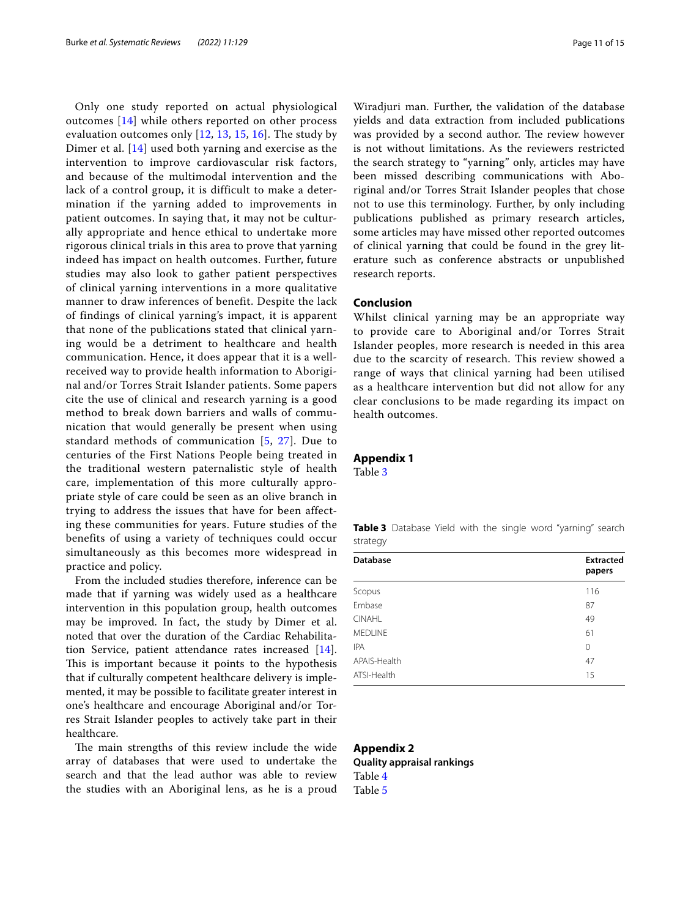Only one study reported on actual physiological outcomes [[14\]](#page-13-16) while others reported on other process evaluation outcomes only  $[12, 13, 15, 16]$  $[12, 13, 15, 16]$  $[12, 13, 15, 16]$  $[12, 13, 15, 16]$  $[12, 13, 15, 16]$  $[12, 13, 15, 16]$  $[12, 13, 15, 16]$  $[12, 13, 15, 16]$  $[12, 13, 15, 16]$ . The study by Dimer et al. [\[14\]](#page-13-16) used both yarning and exercise as the intervention to improve cardiovascular risk factors, and because of the multimodal intervention and the lack of a control group, it is difficult to make a determination if the yarning added to improvements in patient outcomes. In saying that, it may not be culturally appropriate and hence ethical to undertake more rigorous clinical trials in this area to prove that yarning indeed has impact on health outcomes. Further, future studies may also look to gather patient perspectives of clinical yarning interventions in a more qualitative manner to draw inferences of benefit. Despite the lack of findings of clinical yarning's impact, it is apparent that none of the publications stated that clinical yarning would be a detriment to healthcare and health communication. Hence, it does appear that it is a wellreceived way to provide health information to Aboriginal and/or Torres Strait Islander patients. Some papers cite the use of clinical and research yarning is a good method to break down barriers and walls of communication that would generally be present when using standard methods of communication [[5,](#page-13-4) [27\]](#page-14-1). Due to centuries of the First Nations People being treated in the traditional western paternalistic style of health care, implementation of this more culturally appropriate style of care could be seen as an olive branch in trying to address the issues that have for been affecting these communities for years. Future studies of the benefits of using a variety of techniques could occur simultaneously as this becomes more widespread in practice and policy.

From the included studies therefore, inference can be made that if yarning was widely used as a healthcare intervention in this population group, health outcomes may be improved. In fact, the study by Dimer et al. noted that over the duration of the Cardiac Rehabilitation Service, patient attendance rates increased [\[14](#page-13-16)]. This is important because it points to the hypothesis that if culturally competent healthcare delivery is implemented, it may be possible to facilitate greater interest in one's healthcare and encourage Aboriginal and/or Torres Strait Islander peoples to actively take part in their healthcare.

The main strengths of this review include the wide array of databases that were used to undertake the search and that the lead author was able to review the studies with an Aboriginal lens, as he is a proud

Wiradjuri man. Further, the validation of the database yields and data extraction from included publications was provided by a second author. The review however is not without limitations. As the reviewers restricted the search strategy to "yarning" only, articles may have been missed describing communications with Aboriginal and/or Torres Strait Islander peoples that chose not to use this terminology. Further, by only including publications published as primary research articles, some articles may have missed other reported outcomes of clinical yarning that could be found in the grey literature such as conference abstracts or unpublished research reports.

# **Conclusion**

Whilst clinical yarning may be an appropriate way to provide care to Aboriginal and/or Torres Strait Islander peoples, more research is needed in this area due to the scarcity of research. This review showed a range of ways that clinical yarning had been utilised as a healthcare intervention but did not allow for any clear conclusions to be made regarding its impact on health outcomes.

## <span id="page-10-0"></span>**Appendix 1**

Table [3](#page-10-2)

<span id="page-10-2"></span>

|          | <b>Table 3</b> Database Yield with the single word "yarning" search |  |  |  |  |
|----------|---------------------------------------------------------------------|--|--|--|--|
| strategy |                                                                     |  |  |  |  |

| <b>Database</b> | <b>Extracted</b><br>papers |
|-----------------|----------------------------|
| Scopus          | 116                        |
| Embase          | 87                         |
| <b>CINAHL</b>   | 49                         |
| <b>MEDLINE</b>  | 61                         |
| <b>IPA</b>      | 0                          |
| APAIS-Health    | 47                         |
| ATSI-Health     | 15                         |
|                 |                            |

#### <span id="page-10-1"></span>**Appendix 2**

**Quality appraisal rankings** Table [4](#page-11-0) Table [5](#page-12-0)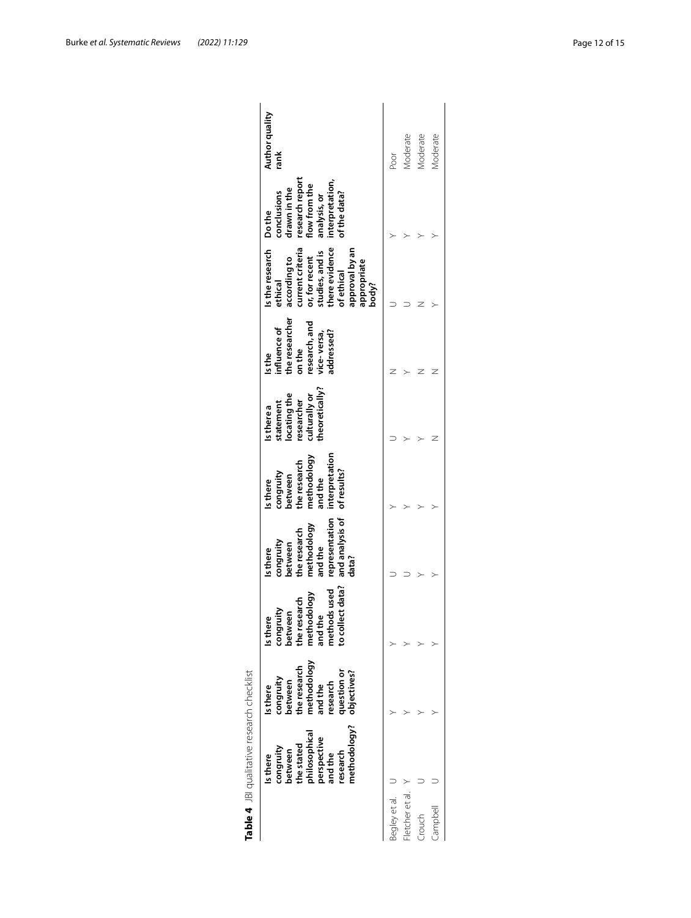|                | methodology?<br>philosophical<br>perspective<br>and the<br>the stated<br>congruity<br>oetween<br>research<br>Is there | methodology<br>the research<br><b>µestion</b> or<br>objectives?<br>congruity<br>between<br>research<br>and the<br><b>Is there</b> | to collect data?<br>methods used<br>methodology<br>the research<br>congruity<br>between<br>and the<br>Is there | and analysis of<br>representation<br>methodology<br>the research<br>congruity<br>between<br>and the<br>Is there<br>data? | interpretation<br>methodology<br>the research<br>of results?<br>congruity<br>and the<br>petween<br>Is there | heoretically?<br>locating the<br>culturally or<br>esearcher<br>statement<br>s there a | the researcher<br>esearch, and<br>nfluence of<br>vice-versa,<br>addressed?<br>on the<br>Is the | Is the research Do the<br>there evidence<br>current criteria<br>approval by an<br>studies, and is<br>or, for recent<br>according to<br>appropriate<br>body?<br>of ethical<br>ethical | research report<br>interpretation,<br>of the data?<br>flow from the<br>drawn in the<br>conclusions<br>analysis, or | Author quality<br>rank |
|----------------|-----------------------------------------------------------------------------------------------------------------------|-----------------------------------------------------------------------------------------------------------------------------------|----------------------------------------------------------------------------------------------------------------|--------------------------------------------------------------------------------------------------------------------------|-------------------------------------------------------------------------------------------------------------|---------------------------------------------------------------------------------------|------------------------------------------------------------------------------------------------|--------------------------------------------------------------------------------------------------------------------------------------------------------------------------------------|--------------------------------------------------------------------------------------------------------------------|------------------------|
| egley et al.   |                                                                                                                       |                                                                                                                                   |                                                                                                                |                                                                                                                          |                                                                                                             |                                                                                       |                                                                                                |                                                                                                                                                                                      |                                                                                                                    | Poor                   |
| letcher et al. |                                                                                                                       |                                                                                                                                   |                                                                                                                |                                                                                                                          |                                                                                                             |                                                                                       |                                                                                                |                                                                                                                                                                                      |                                                                                                                    | .vloderate             |
| Crouch         |                                                                                                                       |                                                                                                                                   |                                                                                                                |                                                                                                                          |                                                                                                             |                                                                                       |                                                                                                |                                                                                                                                                                                      |                                                                                                                    | Moderate               |
| lleddure.      |                                                                                                                       |                                                                                                                                   |                                                                                                                |                                                                                                                          |                                                                                                             |                                                                                       |                                                                                                |                                                                                                                                                                                      |                                                                                                                    | Vloderate              |

<span id="page-11-0"></span>

| research chec           |
|-------------------------|
|                         |
|                         |
|                         |
|                         |
|                         |
|                         |
|                         |
|                         |
|                         |
|                         |
|                         |
| UNIFETIEN               |
|                         |
|                         |
|                         |
|                         |
|                         |
|                         |
|                         |
|                         |
|                         |
|                         |
| $\overline{\mathbb{E}}$ |
|                         |
|                         |
| d                       |
|                         |
|                         |
| 7                       |
|                         |
| Ć                       |
|                         |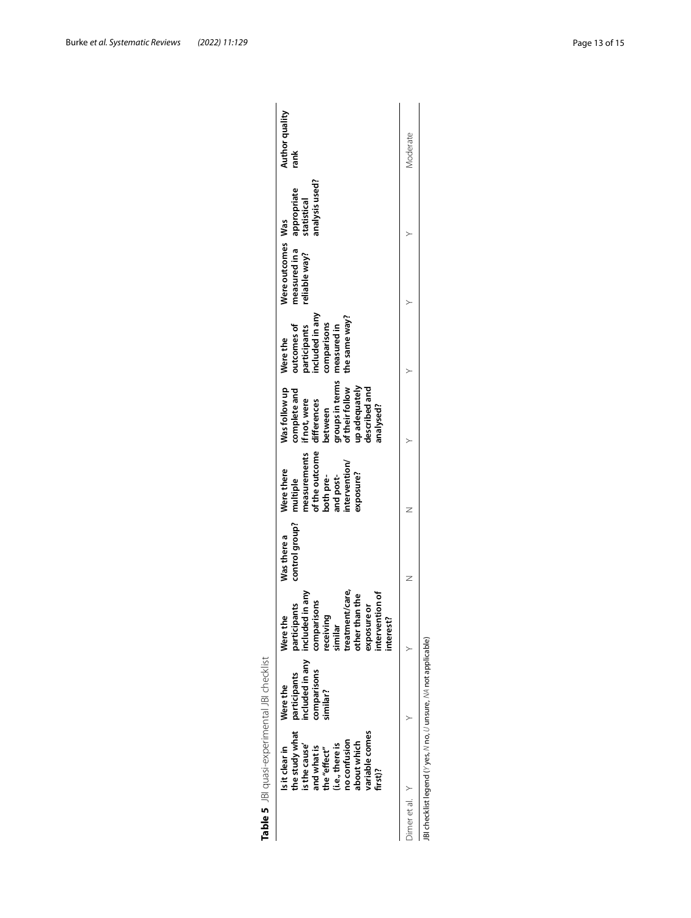|                                                                                                                             | Is it clear in | Were the                                                            | Were the                                                                                                                                          | Was there a    | Were there                                                                                        | Was follow up                                                                                                                                                         | Were the                                                      | Were outcomes Was              |                                              |                        |
|-----------------------------------------------------------------------------------------------------------------------------|----------------|---------------------------------------------------------------------|---------------------------------------------------------------------------------------------------------------------------------------------------|----------------|---------------------------------------------------------------------------------------------------|-----------------------------------------------------------------------------------------------------------------------------------------------------------------------|---------------------------------------------------------------|--------------------------------|----------------------------------------------|------------------------|
| variable comes<br>no confusion<br>about which<br>(i.e., there is<br>is the cause'<br>and what is<br>the "effect"<br>first)? | the study what | included in any included<br>comparisons<br>participants<br>similar? | treatment/care,<br>in any<br>other than the<br>intervention of<br>comparisons<br>participants<br>exposure or<br>receiving<br>interest?<br>similar | control group? | of the outcome<br>neasurements<br>ntervention/<br>exposure?<br>both pre-<br>and post-<br>multiple | groups in terms measured in<br>of their follow the same way?<br>up adequately<br>described and<br>complete and<br>if not, were<br>differences<br>analysed?<br>between | included in any<br>outcomes of<br>comparisons<br>participants | measured in a<br>reliable way? | analysis used?<br>appropriate<br>statistical | Author quality<br>rank |
| Dimeretal. Y                                                                                                                |                |                                                                     |                                                                                                                                                   |                |                                                                                                   |                                                                                                                                                                       |                                                               |                                |                                              | Moderate               |

<span id="page-12-0"></span>

| j      |  |
|--------|--|
| l      |  |
| ١      |  |
| ١      |  |
|        |  |
|        |  |
|        |  |
|        |  |
|        |  |
| l<br>i |  |
| i      |  |
| ;      |  |
| 5      |  |
|        |  |
| ١<br>١ |  |
|        |  |
|        |  |
|        |  |
| I      |  |
|        |  |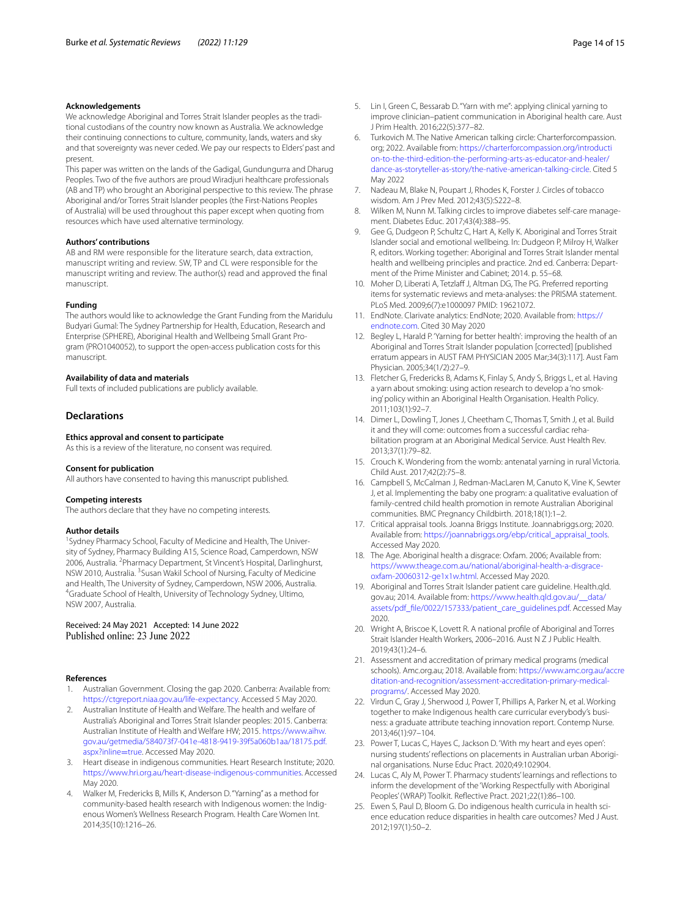#### **Acknowledgements**

We acknowledge Aboriginal and Torres Strait Islander peoples as the traditional custodians of the country now known as Australia. We acknowledge their continuing connections to culture, community, lands, waters and sky and that sovereignty was never ceded. We pay our respects to Elders' past and present.

This paper was written on the lands of the Gadigal, Gundungurra and Dharug Peoples. Two of the fve authors are proud Wiradjuri healthcare professionals (AB and TP) who brought an Aboriginal perspective to this review. The phrase Aboriginal and/or Torres Strait Islander peoples (the First-Nations Peoples of Australia) will be used throughout this paper except when quoting from resources which have used alternative terminology.

#### **Authors' contributions**

AB and RM were responsible for the literature search, data extraction, manuscript writing and review. SW, TP and CL were responsible for the manuscript writing and review. The author(s) read and approved the fnal manuscript.

#### **Funding**

The authors would like to acknowledge the Grant Funding from the Maridulu Budyari Gumal: The Sydney Partnership for Health, Education, Research and Enterprise (SPHERE), Aboriginal Health and Wellbeing Small Grant Program (PRO1040052), to support the open-access publication costs for this manuscript.

#### **Availability of data and materials**

Full texts of included publications are publicly available.

#### **Declarations**

#### **Ethics approval and consent to participate**

As this is a review of the literature, no consent was required.

#### **Consent for publication**

All authors have consented to having this manuscript published.

#### **Competing interests**

The authors declare that they have no competing interests.

#### **Author details**

<sup>1</sup> Sydney Pharmacy School, Faculty of Medicine and Health, The University of Sydney, Pharmacy Building A15, Science Road, Camperdown, NSW 2006, Australia. <sup>2</sup> Pharmacy Department, St Vincent's Hospital, Darlinghurst, NSW 2010, Australia. <sup>3</sup>Susan Wakil School of Nursing, Faculty of Medicine and Health, The University of Sydney, Camperdown, NSW 2006, Australia. 4 Graduate School of Health, University of Technology Sydney, Ultimo, NSW 2007, Australia.

# Received: 24 May 2021 Accepted: 14 June 2022<br>Published online: 23 June 2022

#### **References**

- <span id="page-13-0"></span>1. Australian Government. Closing the gap 2020. Canberra: Available from: <https://ctgreport.niaa.gov.au/life-expectancy>. Accessed 5 May 2020.
- <span id="page-13-1"></span>2. Australian Institute of Health and Welfare. The health and welfare of Australia's Aboriginal and Torres Strait Islander peoples: 2015. Canberra: Australian Institute of Health and Welfare HW; 2015. [https://www.aihw.](https://www.aihw.gov.au/getmedia/584073f7-041e-4818-9419-39f5a060b1aa/18175.pdf.aspx?inline=true) [gov.au/getmedia/584073f7-041e-4818-9419-39f5a060b1aa/18175.pdf.](https://www.aihw.gov.au/getmedia/584073f7-041e-4818-9419-39f5a060b1aa/18175.pdf.aspx?inline=true) [aspx?inline](https://www.aihw.gov.au/getmedia/584073f7-041e-4818-9419-39f5a060b1aa/18175.pdf.aspx?inline=true)=true. Accessed May 2020.
- <span id="page-13-2"></span>3. Heart disease in indigenous communities. Heart Research Institute; 2020. [https://www.hri.org.au/heart-disease-indigenous-communities.](https://www.hri.org.au/heart-disease-indigenous-communities) Accessed May 2020.
- <span id="page-13-3"></span>4. Walker M, Fredericks B, Mills K, Anderson D. "Yarning" as a method for community-based health research with Indigenous women: the Indigenous Women's Wellness Research Program. Health Care Women Int. 2014;35(10):1216–26.
- <span id="page-13-4"></span>5. Lin I, Green C, Bessarab D. "Yarn with me": applying clinical yarning to improve clinician–patient communication in Aboriginal health care. Aust J Prim Health. 2016;22(5):377–82.
- <span id="page-13-5"></span>6. Turkovich M. The Native American talking circle: Charterforcompassion. org; 2022. Available from: [https://charterforcompassion.org/introducti](https://charterforcompassion.org/introduction-to-the-third-edition-the-performing-arts-as-educator-and-healer/dance-as-storyteller-as-story/the-native-american-talking-circle) [on-to-the-third-edition-the-performing-arts-as-educator-and-healer/](https://charterforcompassion.org/introduction-to-the-third-edition-the-performing-arts-as-educator-and-healer/dance-as-storyteller-as-story/the-native-american-talking-circle) [dance-as-storyteller-as-story/the-native-american-talking-circle](https://charterforcompassion.org/introduction-to-the-third-edition-the-performing-arts-as-educator-and-healer/dance-as-storyteller-as-story/the-native-american-talking-circle). Cited 5 May 2022
- <span id="page-13-6"></span>7. Nadeau M, Blake N, Poupart J, Rhodes K, Forster J. Circles of tobacco wisdom. Am J Prev Med. 2012;43(5):S222–8.
- <span id="page-13-7"></span>Wilken M, Nunn M. Talking circles to improve diabetes self-care management. Diabetes Educ. 2017;43(4):388–95.
- <span id="page-13-8"></span>9. Gee G, Dudgeon P, Schultz C, Hart A, Kelly K. Aboriginal and Torres Strait Islander social and emotional wellbeing. In: Dudgeon P, Milroy H, Walker R, editors. Working together: Aboriginal and Torres Strait Islander mental health and wellbeing principles and practice. 2nd ed. Canberra: Department of the Prime Minister and Cabinet; 2014. p. 55–68.
- <span id="page-13-9"></span>10. Moher D, Liberati A, Tetzlaff J, Altman DG, The PG. Preferred reporting items for systematic reviews and meta-analyses: the PRISMA statement. PLoS Med. 2009;6(7):e1000097 PMID: 19621072.
- <span id="page-13-10"></span>11. EndNote. Clarivate analytics: EndNote; 2020. Available from: [https://](https://endnote.com) [endnote.com](https://endnote.com). Cited 30 May 2020
- <span id="page-13-12"></span>12. Begley L, Harald P. 'Yarning for better health': improving the health of an Aboriginal and Torres Strait Islander population [corrected] [published erratum appears in AUST FAM PHYSICIAN 2005 Mar;34(3):117]. Aust Fam Physician. 2005;34(1/2):27–9.
- <span id="page-13-15"></span>13. Fletcher G, Fredericks B, Adams K, Finlay S, Andy S, Briggs L, et al. Having a yarn about smoking: using action research to develop a 'no smoking' policy within an Aboriginal Health Organisation. Health Policy. 2011;103(1):92–7.
- <span id="page-13-16"></span>14. Dimer L, Dowling T, Jones J, Cheetham C, Thomas T, Smith J, et al. Build it and they will come: outcomes from a successful cardiac rehabilitation program at an Aboriginal Medical Service. Aust Health Rev. 2013;37(1):79–82.
- <span id="page-13-14"></span>15. Crouch K. Wondering from the womb: antenatal yarning in rural Victoria. Child Aust. 2017;42(2):75–8.
- <span id="page-13-13"></span>16. Campbell S, McCalman J, Redman-MacLaren M, Canuto K, Vine K, Sewter J, et al. Implementing the baby one program: a qualitative evaluation of family-centred child health promotion in remote Australian Aboriginal communities. BMC Pregnancy Childbirth. 2018;18(1):1–2.
- <span id="page-13-11"></span>17. Critical appraisal tools. Joanna Briggs Institute. Joannabriggs.org; 2020. Available from: [https://joannabriggs.org/ebp/critical\\_appraisal\\_tools.](https://joannabriggs.org/ebp/critical_appraisal_tools) Accessed May 2020.
- <span id="page-13-17"></span>18. The Age. Aboriginal health a disgrace: Oxfam. 2006; Available from: [https://www.theage.com.au/national/aboriginal-health-a-disgrace](https://www.theage.com.au/national/aboriginal-health-a-disgrace-oxfam-20060312-ge1x1w.html)[oxfam-20060312-ge1x1w.html](https://www.theage.com.au/national/aboriginal-health-a-disgrace-oxfam-20060312-ge1x1w.html). Accessed May 2020.
- <span id="page-13-18"></span>19. Aboriginal and Torres Strait Islander patient care guideline. Health.qld. gov.au; 2014. Available from: [https://www.health.qld.gov.au/\\_\\_data/](https://www.health.qld.gov.au/__data/assets/pdf_file/0022/157333/patient_care_guidelines.pdf) [assets/pdf\\_fle/0022/157333/patient\\_care\\_guidelines.pdf.](https://www.health.qld.gov.au/__data/assets/pdf_file/0022/157333/patient_care_guidelines.pdf) Accessed May 2020.
- <span id="page-13-19"></span>20. Wright A, Briscoe K, Lovett R. A national profle of Aboriginal and Torres Strait Islander Health Workers, 2006–2016. Aust N Z J Public Health. 2019;43(1):24–6.
- <span id="page-13-20"></span>21. Assessment and accreditation of primary medical programs (medical schools). Amc.org.au; 2018. Available from: [https://www.amc.org.au/accre](https://www.amc.org.au/accreditation-and-recognition/assessment-accreditation-primary-medical-programs/) [ditation-and-recognition/assessment-accreditation-primary-medical](https://www.amc.org.au/accreditation-and-recognition/assessment-accreditation-primary-medical-programs/)[programs/](https://www.amc.org.au/accreditation-and-recognition/assessment-accreditation-primary-medical-programs/). Accessed May 2020.
- <span id="page-13-21"></span>22. Virdun C, Gray J, Sherwood J, Power T, Phillips A, Parker N, et al. Working together to make Indigenous health care curricular everybody's business: a graduate attribute teaching innovation report. Contemp Nurse. 2013;46(1):97–104.
- <span id="page-13-22"></span>23. Power T, Lucas C, Hayes C, Jackson D. 'With my heart and eyes open': nursing students' refections on placements in Australian urban Aboriginal organisations. Nurse Educ Pract. 2020;49:102904.
- <span id="page-13-23"></span>24. Lucas C, Aly M, Power T. Pharmacy students' learnings and refections to inform the development of the 'Working Respectfully with Aboriginal Peoples' (WRAP) Toolkit. Refective Pract. 2021;22(1):86–100.
- <span id="page-13-24"></span>25. Ewen S, Paul D, Bloom G. Do indigenous health curricula in health science education reduce disparities in health care outcomes? Med J Aust. 2012;197(1):50–2.